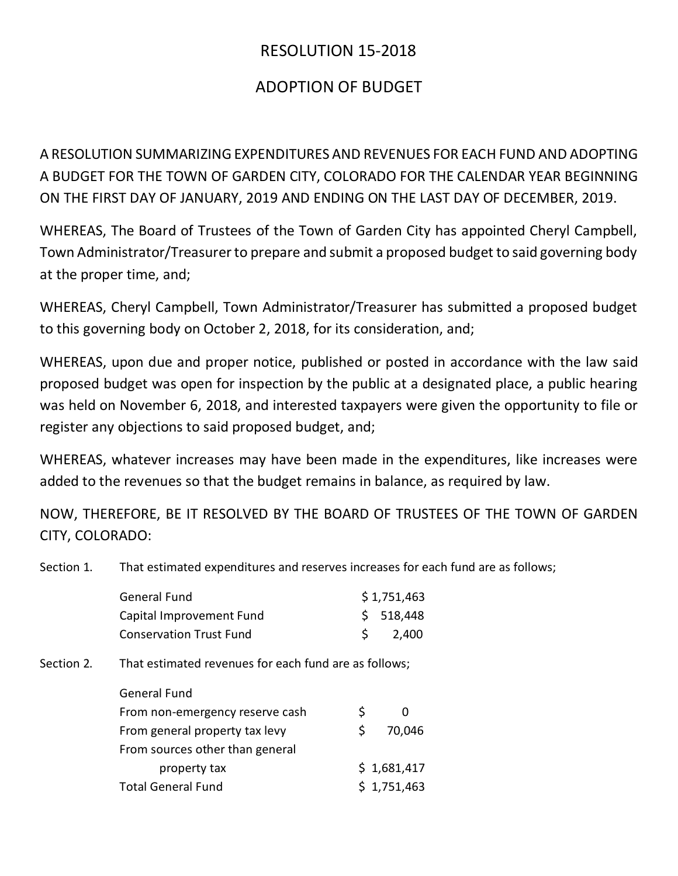## RESOLUTION 15-2018

## ADOPTION OF BUDGET

A RESOLUTION SUMMARIZING EXPENDITURES AND REVENUES FOR EACH FUND AND ADOPTING A BUDGET FOR THE TOWN OF GARDEN CITY, COLORADO FOR THE CALENDAR YEAR BEGINNING ON THE FIRST DAY OF JANUARY, 2019 AND ENDING ON THE LAST DAY OF DECEMBER, 2019.

WHEREAS, The Board of Trustees of the Town of Garden City has appointed Cheryl Campbell, Town Administrator/Treasurer to prepare and submit a proposed budget to said governing body at the proper time, and;

WHEREAS, Cheryl Campbell, Town Administrator/Treasurer has submitted a proposed budget to this governing body on October 2, 2018, for its consideration, and;

WHEREAS, upon due and proper notice, published or posted in accordance with the law said proposed budget was open for inspection by the public at a designated place, a public hearing was held on November 6, 2018, and interested taxpayers were given the opportunity to file or register any objections to said proposed budget, and;

WHEREAS, whatever increases may have been made in the expenditures, like increases were added to the revenues so that the budget remains in balance, as required by law.

NOW, THEREFORE, BE IT RESOLVED BY THE BOARD OF TRUSTEES OF THE TOWN OF GARDEN CITY, COLORADO:

Section 1. That estimated expenditures and reserves increases for each fund are as follows;

|            | <b>General Fund</b>                                   |    | \$1,751,463 |  |
|------------|-------------------------------------------------------|----|-------------|--|
|            | Capital Improvement Fund                              | \$ | 518,448     |  |
|            | <b>Conservation Trust Fund</b>                        | \$ | 2,400       |  |
| Section 2. | That estimated revenues for each fund are as follows; |    |             |  |
|            | <b>General Fund</b>                                   |    |             |  |
|            | From non-emergency reserve cash                       | \$ | 0           |  |
|            | From general property tax levy                        | \$ | 70,046      |  |
|            | From sources other than general                       |    |             |  |
|            | property tax                                          |    | \$1,681,417 |  |
|            | <b>Total General Fund</b>                             |    | \$1,751,463 |  |
|            |                                                       |    |             |  |